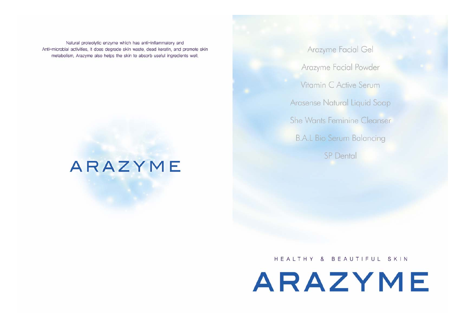Natural proteolytic enzyme which has anti-inflammatory and Anti-microbial activities, It does degrade skin waste, dead keratin, and promote skin metabolism. Arazyme also helps the skin to absorb useful ingredients well.

# **ARAZYME**

Arazyme Facial Gel Arazyme Facial Powder Vitamin C Active Serum Arasense Natural Liquid Soap She Wants Feminine Cleanser **B.A.L Bio Serum Balancing** SP Dental

HEALTHY & BEAUTIFUL SKIN

ARAZYME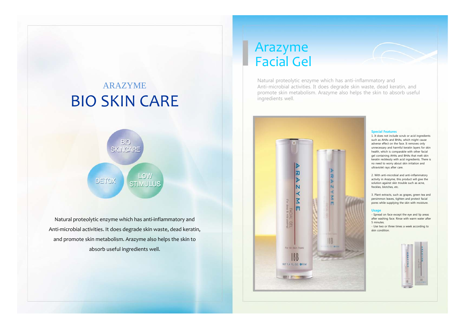# ARAZYMEBIO SKIN CARE



Natural proteolytic enzyme which has anti-inflammatory and Anti‐microbial activities. It does degrade skin waste, dead keratin, and promote skin metabolism. Arazyme also helps the skin to absorb useful ingredients well.

# Arazyme Facial Gel

Natural proteolytic enzyme which has anti-inflammatory and Anti-microbial activities. It does degrade skin waste, dead keratin, and promote skin metabolism. Arazyme also helps the skin to absorb useful ingredients well.



### **Special Features**

1. It does not include scrub or acid ingredients such as AHAs and BHAs, which might cause adverse effect on the face. It removes only unnecessary and harmful keratin layers for skin health, which is comparable with other facial gel containing AHAs and BHAs that melt skin keratin recklessly with acid ingredients. There is no need to worry about skin irritation and ultraviolet rays after care.

2. With anti-microbial and anti-inflammatory activity in Arazyme, this product will give the solution against skin trouble such as acne, freckles, blotches, etc.

3. Plant extracts, such as grapes, green tea and persimmon leaves, tighten and protect facial pores while supplying the skin with moisture.

### **Usage**

- Spread on face except the eye and lip areas after washing face. Rinse with warm water after 5 minutes.

- Use two or three times a week according to skin condition.

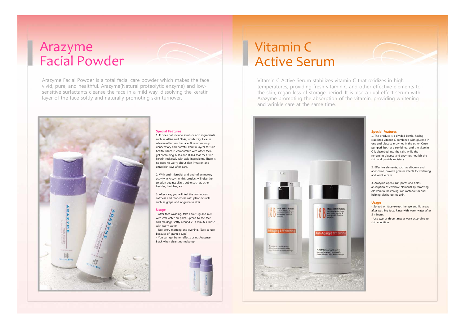# Arazyme Facial Powder

Arazyme Facial Powder is a total facial care powder which makes the face vivid, pure, and healthful. Arazyme(Natural proteolytic enzyme) and lowsensitive surfactants cleanse the face in a mild way, dissolving the keratin layer of the face softly and naturally promoting skin turnover.

# 18B

### **Special Features**

1. It does not include scrub or acid ingredients such as AHAs and BHAs, which might cause adverse effect on the face. It removes only unnecessary and harmful keratin layers for skin health, which is comparable with other facial gel containing AHAs and BHAs that melt skin keratin recklessly with acid ingredients. There is no need to worry about skin irritation and ultraviolet rays after care.

2. With anti-microbial and anti-inflammatory activity in Arazyme, this product will give the solution against skin trouble such as acne, freckles, blotches, etc.

3. After care, you will feel the continuous softness and tenderness with plant extracts such as grape and Angelica keiskei.

### **Usage**

- After face washing, take about 1g and mix with 2ml water on palm. Spread to the face and massage softly around 2~3 minutes. Rinse with warm water. - Use every morning and evening. (Easy to use because of granule type) - You can get better effects using Arasense Black when cleansing make-up.



# Vitamin CActive Serum

Vitamin C Active Serum stabilizes vitamin C that oxidizes in high temperatures, providing fresh vitamin C and other effective elements to the skin, regardless of storage period. It is also a dual effect serum with Arazyme promoting the absorption of the vitamin, providing whitening and wrinkle care at the same time.



### **Special Features**

1. The product is a divided bottle, having stabilized vitamin C combined with glucose in one and glucose enzymes in the other. Once pumped, both are combined, and the vitamin C is absorbed into the skin, while the remaining glucose and enzymes nourish the skin and provide moisture.

2. Effective elements, such as albumin and adenosine, provide greater effects to whitening and wrinkle care.

3. Arazyme opens skin pores and helps absorption of effective elements by removing old keratin, hastening skin metabolism and helping discharge melanin.

### **Usage**

- Spread on face except the eye and lip areas after washing face. Rinse with warm water after 5 minutes.

- Use two or three times a week according to skin condition.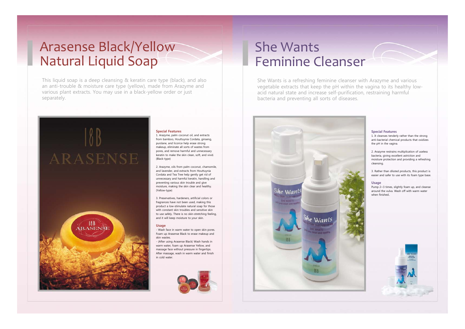# Arasense Black/Yellow Natural Liquid Soap

**ARASENSE** 

**18**<br>ARASENSE

This liquid soap is a deep cleansing & keratin care type (black), and also an anti-trouble & moisture care type (yellow), made from Arazyme and various plant extracts. You may use in a black-yellow order or just separately.

### **Special Features** 1. Arazyme, palm coconut oil, and extracts

from bamboo, Houttuynia Cordata, ginseng, purslane, and licorice help erase strong makeup, eliminate all sorts of wastes from pores, and remove harmful and unnecessary keratin to make the skin clean, soft, and vivid. (Black-type)

> 2. Arazyme, oils from palm coconut, chamomile, and lavender, and extracts from Houttuynia Cordata and Tea Tree help gently get rid of unnecessary and harmful keratin, handling and preventing various skin trouble and give moisture, making the skin clear and healthy. (Yellow-type)

3. Preservatives, hardeners, artificial colors or fragrances have not been used, making this product a low-stimulate natural soap for those with constant skin troubles and sensitive skin to use safely. There is no skin-stretching feeling, and it will keep moisture to your skin.

### **Usage**

- Wash face in warm water to open skin pores. Foam up Arasense Black to erase makeup and skin wastes.

- (After using Arasense Black) Wash hands in warm water, foam up Arasense Yellow, and massage face without pressure in fingertips. After massage, wash in warm water and finish in cold water.



# She Wants Feminine Cleanser

She Wants is a refreshing feminine cleanser with Arazyme and various vegetable extracts that keep the pH within the vagina to its healthy lowacid natural state and increase self-purification, restraining harmful bacteria and preventing all sorts of diseases.



### **Special Features**

1. It cleanses tenderly rather than the strong anti-bacterial chemical products that oxidizes the pH in the vagina.

2. Arazyme restrains multiplication of useless bacteria, giving excellent astriction and moisture protection and providing a refreshing cleansing.

3. Rather than diluted products, this product is easier and safer to use with its foam type base.

### **Usage**

Pump 2~3 times, slightly foam up, and cleanse around the vulva. Wash off with warm water when finished..